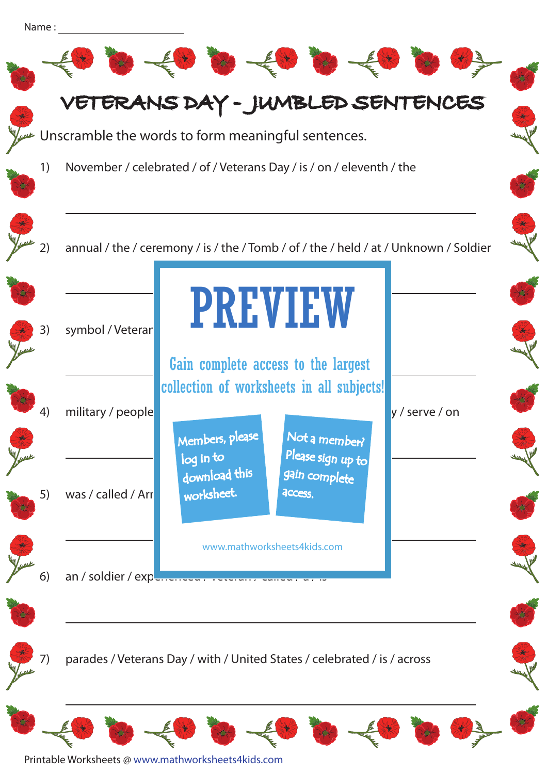